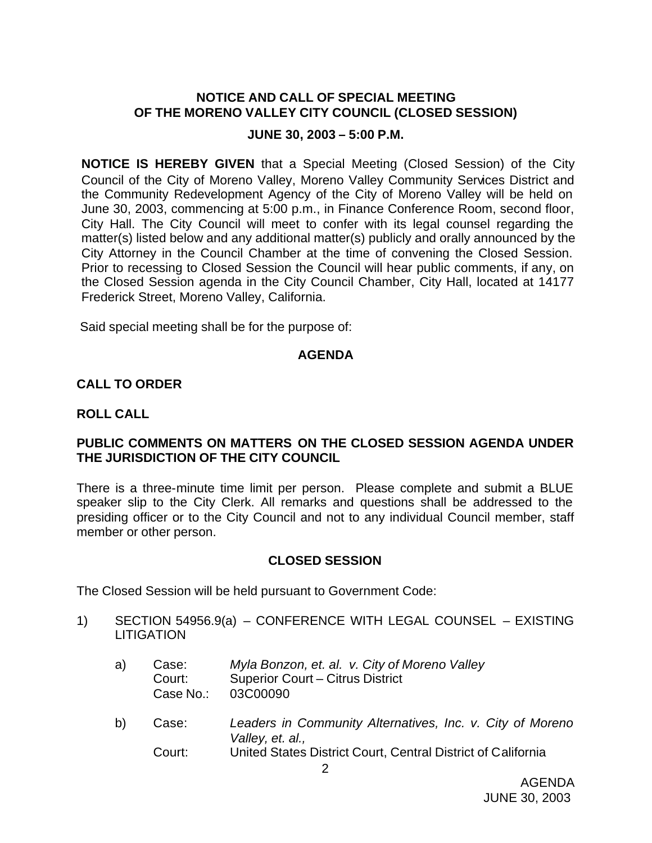# **NOTICE AND CALL OF SPECIAL MEETING OF THE MORENO VALLEY CITY COUNCIL (CLOSED SESSION)**

#### **JUNE 30, 2003 – 5:00 P.M.**

**NOTICE IS HEREBY GIVEN** that a Special Meeting (Closed Session) of the City Council of the City of Moreno Valley, Moreno Valley Community Services District and the Community Redevelopment Agency of the City of Moreno Valley will be held on June 30, 2003, commencing at 5:00 p.m., in Finance Conference Room, second floor, City Hall. The City Council will meet to confer with its legal counsel regarding the matter(s) listed below and any additional matter(s) publicly and orally announced by the City Attorney in the Council Chamber at the time of convening the Closed Session. Prior to recessing to Closed Session the Council will hear public comments, if any, on the Closed Session agenda in the City Council Chamber, City Hall, located at 14177 Frederick Street, Moreno Valley, California.

Said special meeting shall be for the purpose of:

### **AGENDA**

### **CALL TO ORDER**

#### **ROLL CALL**

### **PUBLIC COMMENTS ON MATTERS ON THE CLOSED SESSION AGENDA UNDER THE JURISDICTION OF THE CITY COUNCIL**

There is a three-minute time limit per person. Please complete and submit a BLUE speaker slip to the City Clerk. All remarks and questions shall be addressed to the presiding officer or to the City Council and not to any individual Council member, staff member or other person.

### **CLOSED SESSION**

The Closed Session will be held pursuant to Government Code:

- 1) SECTION 54956.9(a) CONFERENCE WITH LEGAL COUNSEL EXISTING LITIGATION
	- a) Case: *Myla Bonzon, et. al. v. City of Moreno Valley* Court: Superior Court – Citrus District Case No.: 03C00090
	- b) Case: *Leaders in Community Alternatives, Inc. v. City of Moreno Valley, et. al.,* Court: United States District Court, Central District of California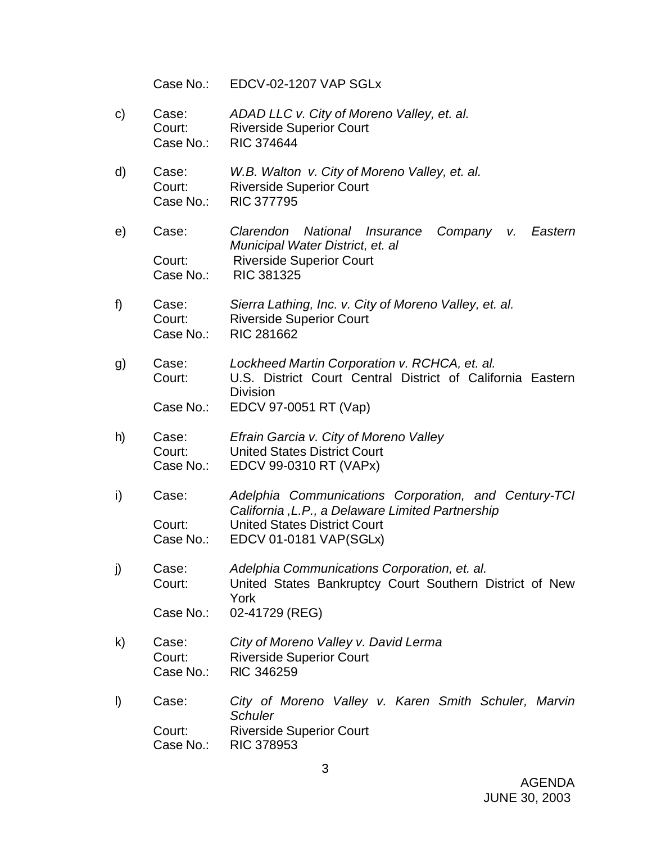Case No.: EDCV-02-1207 VAP SGLx

- c) Case: *ADAD LLC v. City of Moreno Valley, et. al.* Court: Riverside Superior Court Case No.: RIC 374644
- d) Case: *W.B. Walton v. City of Moreno Valley, et. al.* Court: Riverside Superior Court Case No.: RIC 377795
- e) Case: *Clarendon National Insurance Company v. Eastern Municipal Water District, et. al* Court: Riverside Superior Court Case No.: RIC 381325
- f) Case: *Sierra Lathing, Inc. v. City of Moreno Valley, et. al.* Court: Riverside Superior Court Case No.: RIC 281662
- g) Case: *Lockheed Martin Corporation v. RCHCA, et. al.* Court: U.S. District Court Central District of California Eastern Division
	- Case No.: EDCV 97-0051 RT (Vap)
- h) Case: *Efrain Garcia v. City of Moreno Valley* Court: United States District Court Case No.: EDCV 99-0310 RT (VAPx)
- i) Case: *Adelphia Communications Corporation, and Century-TCI California ,L.P., a Delaware Limited Partnership* Court: United States District Court Case No.: EDCV 01-0181 VAP(SGLx)
- j) Case: *Adelphia Communications Corporation, et. al.* Court: United States Bankruptcy Court Southern District of New York
	- Case No.: 02-41729 (REG)
- k) Case: *City of Moreno Valley v. David Lerma* Court: Riverside Superior Court Case No.: RIC 346259
- l) Case: *City of Moreno Valley v. Karen Smith Schuler, Marvin Schuler* Court: Riverside Superior Court Case No.: RIC 378953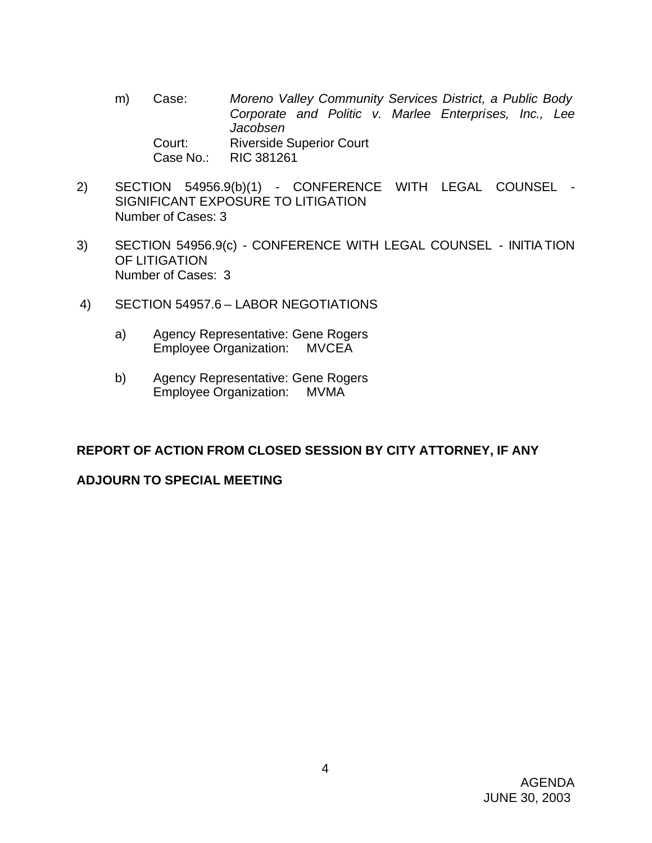- m) Case: *Moreno Valley Community Services District, a Public Body Corporate and Politic v. Marlee Enterprises, Inc., Lee Jacobsen* Court: Riverside Superior Court Case No.: RIC 381261
- 2) SECTION 54956.9(b)(1) CONFERENCE WITH LEGAL COUNSEL SIGNIFICANT EXPOSURE TO LITIGATION Number of Cases: 3
- 3) SECTION 54956.9(c) CONFERENCE WITH LEGAL COUNSEL INITIATION OF LITIGATION Number of Cases: 3
- 4) SECTION 54957.6 LABOR NEGOTIATIONS
	- a) Agency Representative: Gene Rogers Employee Organization: MVCEA
	- b) Agency Representative: Gene Rogers Employee Organization: MVMA

# **REPORT OF ACTION FROM CLOSED SESSION BY CITY ATTORNEY, IF ANY**

# **ADJOURN TO SPECIAL MEETING**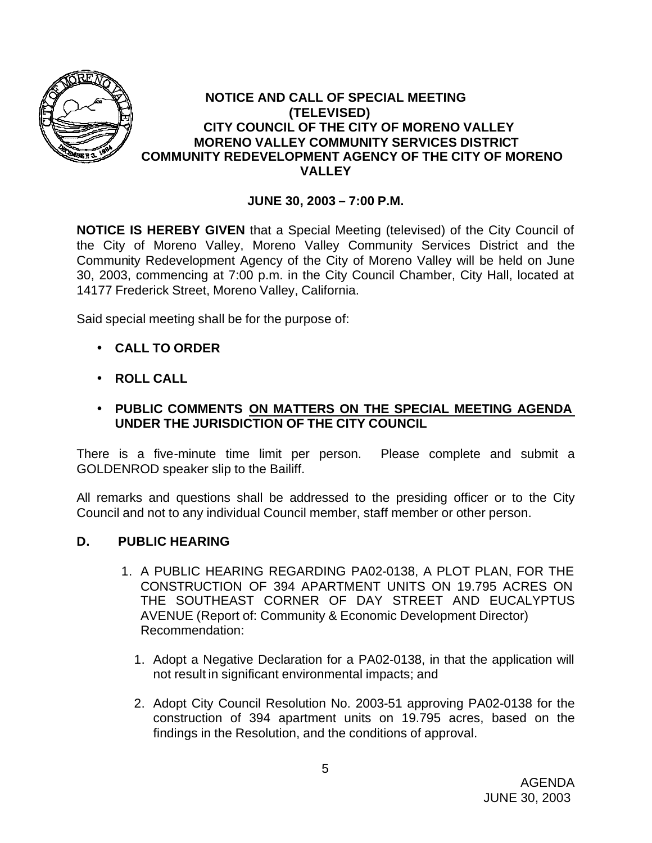

### **NOTICE AND CALL OF SPECIAL MEETING (TELEVISED) CITY COUNCIL OF THE CITY OF MORENO VALLEY MORENO VALLEY COMMUNITY SERVICES DISTRICT COMMUNITY REDEVELOPMENT AGENCY OF THE CITY OF MORENO VALLEY**

# **JUNE 30, 2003 – 7:00 P.M.**

**NOTICE IS HEREBY GIVEN** that a Special Meeting (televised) of the City Council of the City of Moreno Valley, Moreno Valley Community Services District and the Community Redevelopment Agency of the City of Moreno Valley will be held on June 30, 2003, commencing at 7:00 p.m. in the City Council Chamber, City Hall, located at 14177 Frederick Street, Moreno Valley, California.

Said special meeting shall be for the purpose of:

- **CALL TO ORDER**
- **ROLL CALL**
- **PUBLIC COMMENTS ON MATTERS ON THE SPECIAL MEETING AGENDA UNDER THE JURISDICTION OF THE CITY COUNCIL**

There is a five-minute time limit per person. Please complete and submit a GOLDENROD speaker slip to the Bailiff.

All remarks and questions shall be addressed to the presiding officer or to the City Council and not to any individual Council member, staff member or other person.

### **D. PUBLIC HEARING**

- 1. A PUBLIC HEARING REGARDING PA02-0138, A PLOT PLAN, FOR THE CONSTRUCTION OF 394 APARTMENT UNITS ON 19.795 ACRES ON THE SOUTHEAST CORNER OF DAY STREET AND EUCALYPTUS AVENUE (Report of: Community & Economic Development Director) Recommendation:
	- 1. Adopt a Negative Declaration for a PA02-0138, in that the application will not result in significant environmental impacts; and
	- 2. Adopt City Council Resolution No. 2003-51 approving PA02-0138 for the construction of 394 apartment units on 19.795 acres, based on the findings in the Resolution, and the conditions of approval.